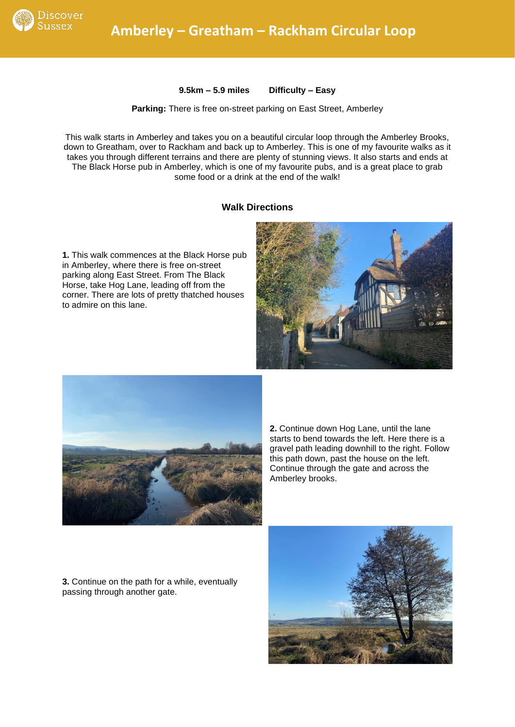

**9.5km – 5.9 miles Difficulty – Easy**

## **Parking:** There is free on-street parking on East Street, Amberley

This walk starts in Amberley and takes you on a beautiful circular loop through the Amberley Brooks, down to Greatham, over to Rackham and back up to Amberley. This is one of my favourite walks as it takes you through different terrains and there are plenty of stunning views. It also starts and ends at The Black Horse pub in Amberley, which is one of my favourite pubs, and is a great place to grab some food or a drink at the end of the walk!

## **Walk Directions**

**1.** This walk commences at the Black Horse pub in Amberley, where there is free on-street parking along East Street. From The Black Horse, take Hog Lane, leading off from the corner. There are lots of pretty thatched houses to admire on this lane.





**2.** Continue down Hog Lane, until the lane starts to bend towards the left. Here there is a gravel path leading downhill to the right. Follow this path down, past the house on the left. Continue through the gate and across the Amberley brooks.

**3.** Continue on the path for a while, eventually passing through another gate.

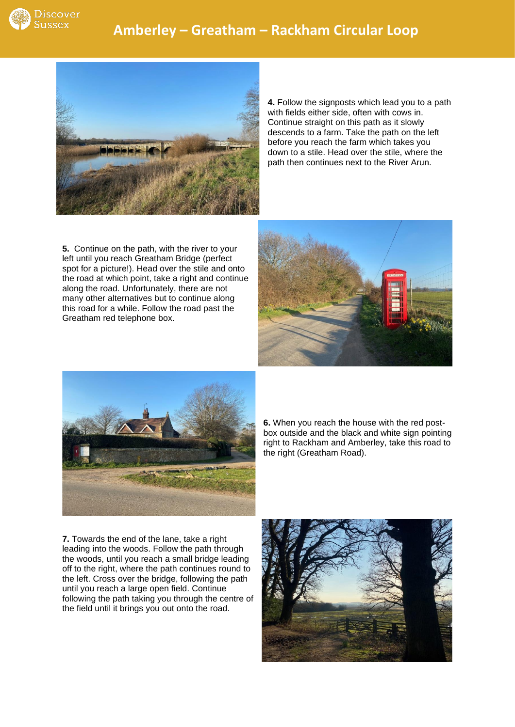

## **Amberley – Greatham – Rackham Circular Loop**



**4.** Follow the signposts which lead you to a path with fields either side, often with cows in. Continue straight on this path as it slowly descends to a farm. Take the path on the left before you reach the farm which takes you down to a stile. Head over the stile, where the path then continues next to the River Arun.

**5.** Continue on the path, with the river to your left until you reach Greatham Bridge (perfect spot for a picture!). Head over the stile and onto the road at which point, take a right and continue along the road. Unfortunately, there are not many other alternatives but to continue along this road for a while. Follow the road past the Greatham red telephone box.





**6.** When you reach the house with the red postbox outside and the black and white sign pointing right to Rackham and Amberley, take this road to the right (Greatham Road).

**7.** Towards the end of the lane, take a right leading into the woods. Follow the path through the woods, until you reach a small bridge leading off to the right, where the path continues round to the left. Cross over the bridge, following the path until you reach a large open field. Continue following the path taking you through the centre of the field until it brings you out onto the road.